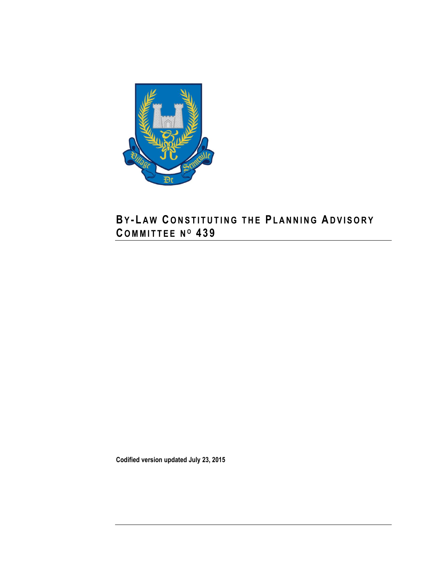

# **BY - L A W C O N S T I T U T I N G T H E PL A N N I N G AD V I S O R Y C O M M I T T E E N <sup>O</sup> 4 3 9**

**Codified version updated July 23, 2015**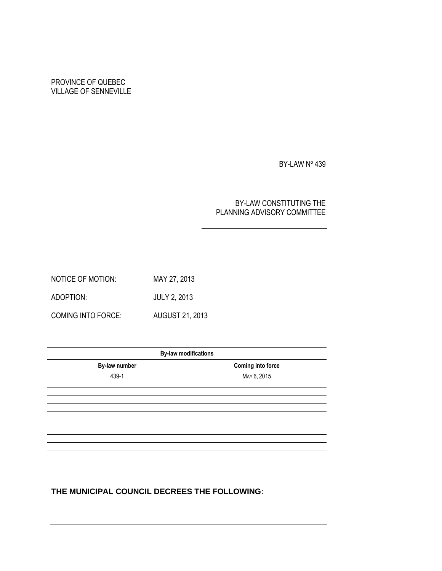## PROVINCE OF QUEBEC VILLAGE OF SENNEVILLE

BY-LAW Nº 439

### BY-LAW CONSTITUTING THE PLANNING ADVISORY COMMITTEE

NOTICE OF MOTION: MAY 27, 2013 ADOPTION: JULY 2, 2013 COMING INTO FORCE: AUGUST 21, 2013

| <b>By-law modifications</b> |  |  |  |  |
|-----------------------------|--|--|--|--|
| <b>Coming into force</b>    |  |  |  |  |
| MAY 6, 2015                 |  |  |  |  |
|                             |  |  |  |  |
|                             |  |  |  |  |
|                             |  |  |  |  |
|                             |  |  |  |  |
|                             |  |  |  |  |
|                             |  |  |  |  |
|                             |  |  |  |  |
|                             |  |  |  |  |

## **THE MUNICIPAL COUNCIL DECREES THE FOLLOWING:**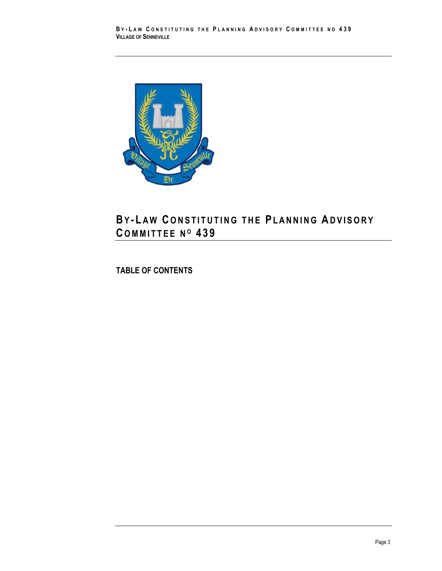

## **BY - L A W C O N S T I T U T I N G T H E PL A N N I N G AD V I S O R Y C O M M I T T E E N <sup>O</sup> 4 3 9**

**TABLE OF CONTENTS**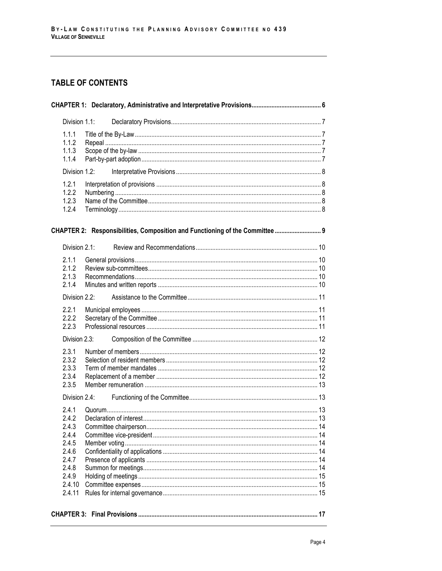## **TABLE OF CONTENTS**

| Division 1.1:                                                                                     |  |                                                                              |  |  |  |
|---------------------------------------------------------------------------------------------------|--|------------------------------------------------------------------------------|--|--|--|
| 1.1.1<br>1.1.2<br>1.1.3<br>1.1.4                                                                  |  |                                                                              |  |  |  |
| Division 1.2:                                                                                     |  |                                                                              |  |  |  |
| 1.2.1<br>1.2.2<br>1.2.3<br>1.2.4                                                                  |  |                                                                              |  |  |  |
|                                                                                                   |  | CHAPTER 2: Responsibilities, Composition and Functioning of the Committee  9 |  |  |  |
| Division 2.1:                                                                                     |  |                                                                              |  |  |  |
| 2.1.1<br>2.1.2<br>2.1.3<br>2.1.4                                                                  |  |                                                                              |  |  |  |
| Division 2.2:                                                                                     |  |                                                                              |  |  |  |
| 2.2.1<br>2.2.2<br>2.2.3                                                                           |  |                                                                              |  |  |  |
| Division 2.3:                                                                                     |  |                                                                              |  |  |  |
| 2.3.1<br>2.3.2<br>2.3.3<br>2.3.4<br>2.3.5                                                         |  |                                                                              |  |  |  |
| Division 2.4:                                                                                     |  |                                                                              |  |  |  |
| 2.4.1<br>2.4.2<br>2.4.3<br>2.4.4<br>2.4.5<br>2.4.6<br>2.4.7<br>2.4.8<br>2.4.9<br>2.4.10<br>2.4.11 |  |                                                                              |  |  |  |
|                                                                                                   |  |                                                                              |  |  |  |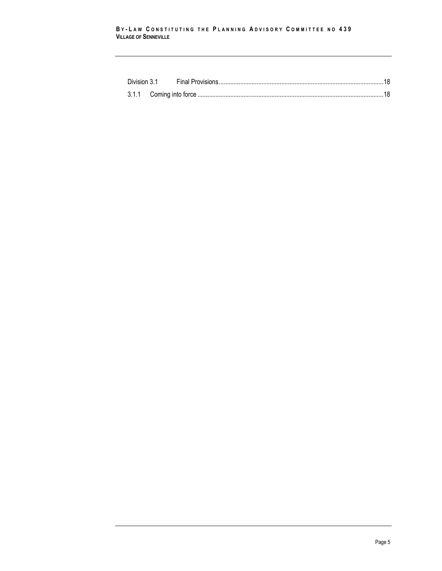#### **B Y - L A W C O N S T I T U T I N G T H E P L A N N I N G A D V I S O R Y C O M M I T T E E N O 439 VILLAGE OF SENNEVILLE**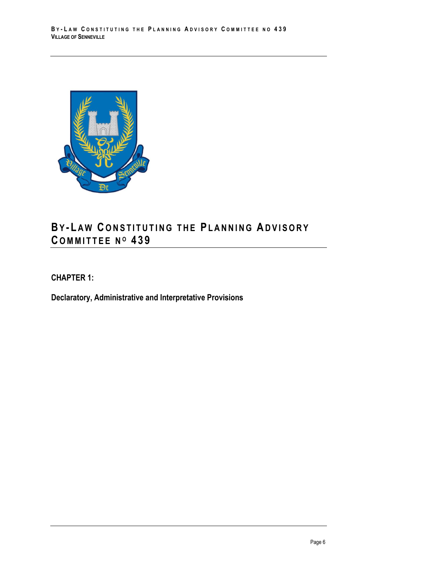

# **BY - L A W C O N S T I T U T I N G T H E PL A N N I N G AD V I S O R Y C O M M I T T E E N <sup>O</sup> 4 3 9**

<span id="page-5-0"></span>**CHAPTER 1:** 

**Declaratory, Administrative and Interpretative Provisions**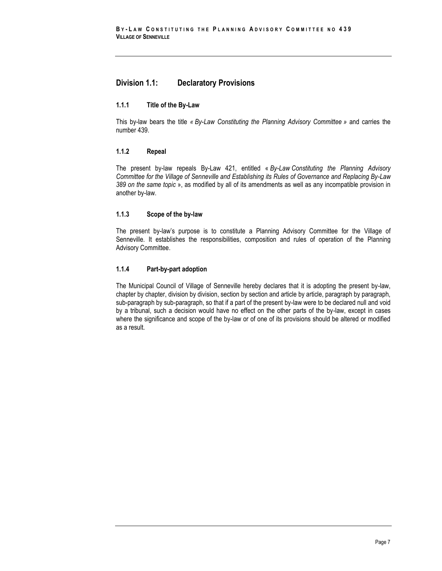## <span id="page-6-0"></span>**Division 1.1: Declaratory Provisions**

#### <span id="page-6-1"></span>**1.1.1 Title of the By-Law**

This by-law bears the title *« By-Law Constituting the Planning Advisory Committee »* and carries the number 439.

#### <span id="page-6-2"></span>**1.1.2 Repeal**

The present by-law repeals By-Law 421, entitled « *By-Law Constituting the Planning Advisory Committee for the Village of Senneville and Establishing its Rules of Governance and Replacing By-Law 389 on the same topic* », as modified by all of its amendments as well as any incompatible provision in another by-law.

#### <span id="page-6-3"></span>**1.1.3 Scope of the by-law**

The present by-law's purpose is to constitute a Planning Advisory Committee for the Village of Senneville. It establishes the responsibilities, composition and rules of operation of the Planning Advisory Committee.

#### <span id="page-6-4"></span>**1.1.4 Part-by-part adoption**

The Municipal Council of Village of Senneville hereby declares that it is adopting the present by-law, chapter by chapter, division by division, section by section and article by article, paragraph by paragraph, sub-paragraph by sub-paragraph, so that if a part of the present by-law were to be declared null and void by a tribunal, such a decision would have no effect on the other parts of the by-law, except in cases where the significance and scope of the by-law or of one of its provisions should be altered or modified as a result.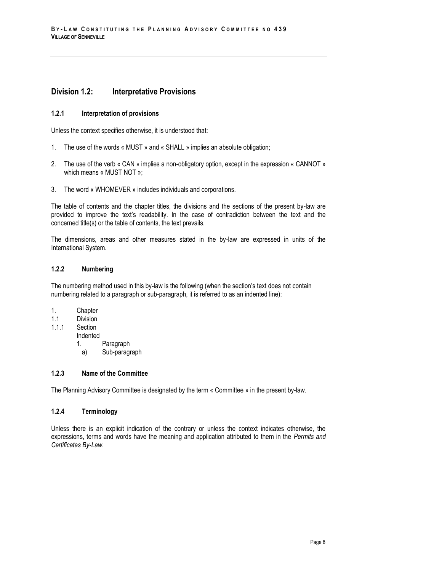### <span id="page-7-0"></span>**Division 1.2: Interpretative Provisions**

#### <span id="page-7-1"></span>**1.2.1 Interpretation of provisions**

Unless the context specifies otherwise, it is understood that:

- 1. The use of the words « MUST » and « SHALL » implies an absolute obligation;
- 2. The use of the verb « CAN » implies a non-obligatory option, except in the expression « CANNOT » which means « MUST NOT »;
- 3. The word « WHOMEVER » includes individuals and corporations.

The table of contents and the chapter titles, the divisions and the sections of the present by-law are provided to improve the text's readability. In the case of contradiction between the text and the concerned title(s) or the table of contents, the text prevails.

The dimensions, areas and other measures stated in the by-law are expressed in units of the International System.

#### <span id="page-7-2"></span>**1.2.2 Numbering**

The numbering method used in this by-law is the following (when the section's text does not contain numbering related to a paragraph or sub-paragraph, it is referred to as an indented line):

- 1. Chapter
- 1.1 Division
- 1.1.1 Section
	- Indented
		- 1. Paragraph
		- a) Sub-paragraph

#### <span id="page-7-3"></span>**1.2.3 Name of the Committee**

<span id="page-7-4"></span>The Planning Advisory Committee is designated by the term « Committee » in the present by-law.

#### **1.2.4 Terminology**

Unless there is an explicit indication of the contrary or unless the context indicates otherwise, the expressions, terms and words have the meaning and application attributed to them in the *Permits and Certificates By-Law*.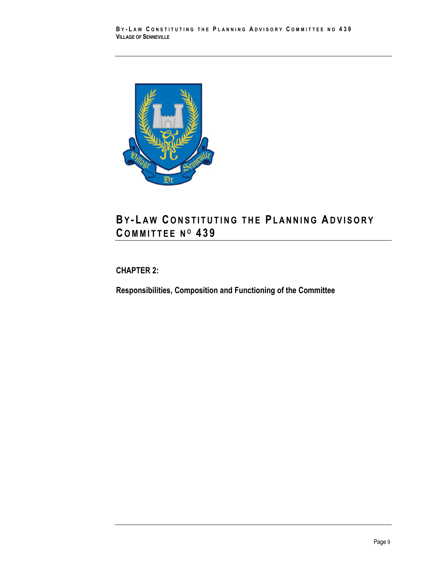

# **BY - L A W C O N S T I T U T I N G T H E PL A N N I N G AD V I S O R Y C O M M I T T E E N <sup>O</sup> 4 3 9**

## <span id="page-8-0"></span>**CHAPTER 2:**

**Responsibilities, Composition and Functioning of the Committee**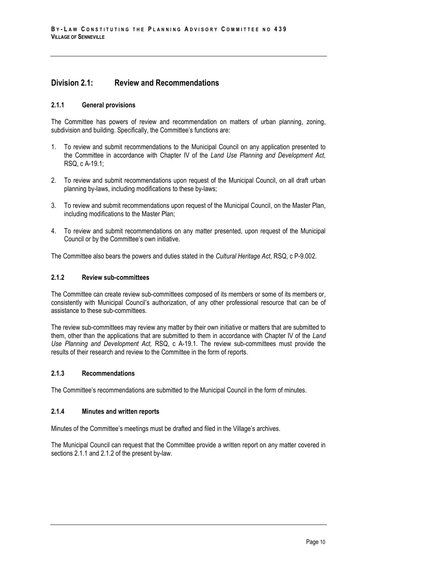## <span id="page-9-0"></span>**Division 2.1: Review and Recommendations**

#### <span id="page-9-1"></span>**2.1.1 General provisions**

The Committee has powers of review and recommendation on matters of urban planning, zoning, subdivision and building. Specifically, the Committee's functions are:

- 1. To review and submit recommendations to the Municipal Council on any application presented to the Committee in accordance with Chapter IV of the *Land Use Planning and Development Act,* RSQ, c A-19.1;
- 2. To review and submit recommendations upon request of the Municipal Council, on all draft urban planning by-laws, including modifications to these by-laws;
- 3. To review and submit recommendations upon request of the Municipal Council, on the Master Plan, including modifications to the Master Plan;
- 4. To review and submit recommendations on any matter presented, upon request of the Municipal Council or by the Committee's own initiative.

<span id="page-9-2"></span>The Committee also bears the powers and duties stated in the *Cultural Heritage Act*, RSQ, c P-9.002.

#### **2.1.2 Review sub-committees**

The Committee can create review sub-committees composed of its members or some of its members or, consistently with Municipal Council's authorization, of any other professional resource that can be of assistance to these sub-committees.

The review sub-committees may review any matter by their own initiative or matters that are submitted to them, other than the applications that are submitted to them in accordance with Chapter IV of the *Land Use Planning and Development Act,* RSQ, c A-19.1. The review sub-committees must provide the results of their research and review to the Committee in the form of reports.

#### <span id="page-9-3"></span>**2.1.3 Recommendations**

<span id="page-9-4"></span>The Committee's recommendations are submitted to the Municipal Council in the form of minutes.

#### **2.1.4 Minutes and written reports**

Minutes of the Committee's meetings must be drafted and filed in the Village's archives.

The Municipal Council can request that the Committee provide a written report on any matter covered in sections 2.1.1 and 2.1.2 of the present by-law.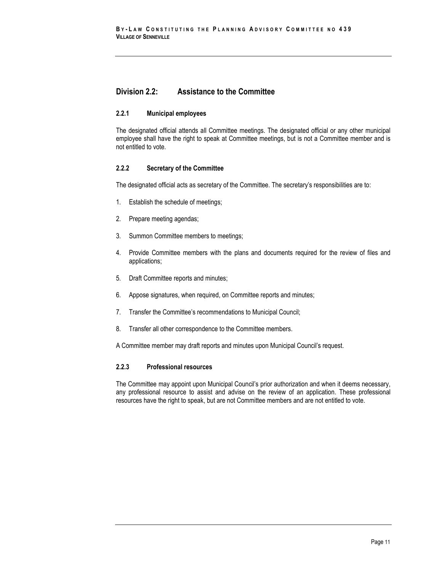## <span id="page-10-0"></span>**Division 2.2: Assistance to the Committee**

#### <span id="page-10-1"></span>**2.2.1 Municipal employees**

The designated official attends all Committee meetings. The designated official or any other municipal employee shall have the right to speak at Committee meetings, but is not a Committee member and is not entitled to vote.

#### <span id="page-10-2"></span>**2.2.2 Secretary of the Committee**

The designated official acts as secretary of the Committee. The secretary's responsibilities are to:

- 1. Establish the schedule of meetings;
- 2. Prepare meeting agendas;
- 3. Summon Committee members to meetings;
- 4. Provide Committee members with the plans and documents required for the review of files and applications;
- 5. Draft Committee reports and minutes;
- 6. Appose signatures, when required, on Committee reports and minutes;
- 7. Transfer the Committee's recommendations to Municipal Council;
- 8. Transfer all other correspondence to the Committee members.

A Committee member may draft reports and minutes upon Municipal Council's request.

#### <span id="page-10-3"></span>**2.2.3 Professional resources**

The Committee may appoint upon Municipal Council's prior authorization and when it deems necessary, any professional resource to assist and advise on the review of an application. These professional resources have the right to speak, but are not Committee members and are not entitled to vote.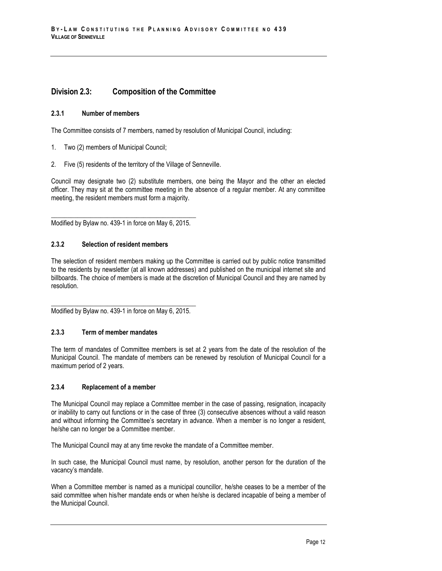## <span id="page-11-0"></span>**Division 2.3: Composition of the Committee**

#### <span id="page-11-1"></span>**2.3.1 Number of members**

The Committee consists of 7 members, named by resolution of Municipal Council, including:

- 1. Two (2) members of Municipal Council;
- 2. Five (5) residents of the territory of the Village of Senneville.

Council may designate two (2) substitute members, one being the Mayor and the other an elected officer. They may sit at the committee meeting in the absence of a regular member. At any committee meeting, the resident members must form a majority.

\_\_\_\_\_\_\_\_\_\_\_\_\_\_\_\_\_\_\_\_\_\_\_\_\_\_\_\_\_\_\_\_\_\_\_\_\_\_\_\_\_\_\_\_ Modified by Bylaw no. 439-1 in force on May 6, 2015.

#### <span id="page-11-2"></span>**2.3.2 Selection of resident members**

The selection of resident members making up the Committee is carried out by public notice transmitted to the residents by newsletter (at all known addresses) and published on the municipal internet site and billboards. The choice of members is made at the discretion of Municipal Council and they are named by resolution.

\_\_\_\_\_\_\_\_\_\_\_\_\_\_\_\_\_\_\_\_\_\_\_\_\_\_\_\_\_\_\_\_\_\_\_\_\_\_\_\_\_\_\_\_ Modified by Bylaw no. 439-1 in force on May 6, 2015.

#### <span id="page-11-3"></span>**2.3.3 Term of member mandates**

The term of mandates of Committee members is set at 2 years from the date of the resolution of the Municipal Council. The mandate of members can be renewed by resolution of Municipal Council for a maximum period of 2 years.

#### <span id="page-11-4"></span>**2.3.4 Replacement of a member**

The Municipal Council may replace a Committee member in the case of passing, resignation, incapacity or inability to carry out functions or in the case of three (3) consecutive absences without a valid reason and without informing the Committee's secretary in advance. When a member is no longer a resident, he/she can no longer be a Committee member.

The Municipal Council may at any time revoke the mandate of a Committee member.

In such case, the Municipal Council must name, by resolution, another person for the duration of the vacancy's mandate.

When a Committee member is named as a municipal councillor, he/she ceases to be a member of the said committee when his/her mandate ends or when he/she is declared incapable of being a member of the Municipal Council.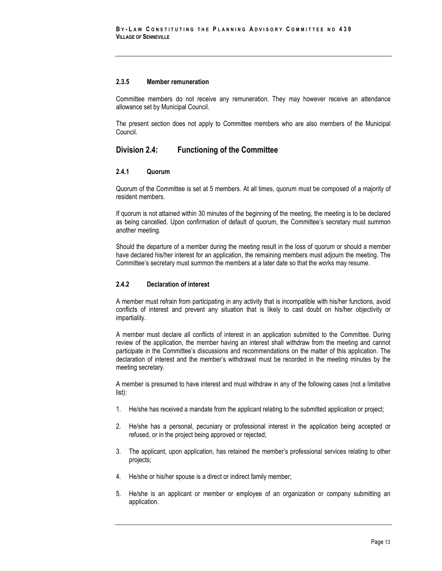#### <span id="page-12-0"></span>**2.3.5 Member remuneration**

Committee members do not receive any remuneration. They may however receive an attendance allowance set by Municipal Council.

The present section does not apply to Committee members who are also members of the Municipal Council.

### <span id="page-12-1"></span>**Division 2.4: Functioning of the Committee**

#### <span id="page-12-2"></span>**2.4.1 Quorum**

Quorum of the Committee is set at 5 members. At all times, quorum must be composed of a majority of resident members.

If quorum is not attained within 30 minutes of the beginning of the meeting, the meeting is to be declared as being cancelled. Upon confirmation of default of quorum, the Committee's secretary must summon another meeting.

Should the departure of a member during the meeting result in the loss of quorum or should a member have declared his/her interest for an application, the remaining members must adjourn the meeting. The Committee's secretary must summon the members at a later date so that the works may resume.

#### <span id="page-12-3"></span>**2.4.2 Declaration of interest**

A member must refrain from participating in any activity that is incompatible with his/her functions, avoid conflicts of interest and prevent any situation that is likely to cast doubt on his/her objectivity or impartiality.

A member must declare all conflicts of interest in an application submitted to the Committee. During review of the application, the member having an interest shall withdraw from the meeting and cannot participate in the Committee's discussions and recommendations on the matter of this application. The declaration of interest and the member's withdrawal must be recorded in the meeting minutes by the meeting secretary.

A member is presumed to have interest and must withdraw in any of the following cases (not a limitative list):

- 1. He/she has received a mandate from the applicant relating to the submitted application or project;
- 2. He/she has a personal, pecuniary or professional interest in the application being accepted or refused, or in the project being approved or rejected;
- 3. The applicant, upon application, has retained the member's professional services relating to other projects;
- 4. He/she or his/her spouse is a direct or indirect family member;
- 5. He/she is an applicant or member or employee of an organization or company submitting an application.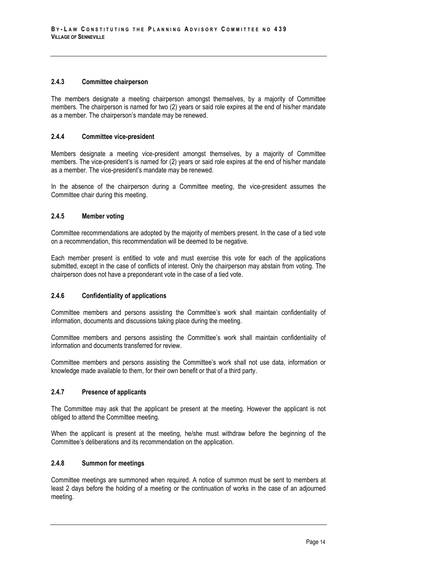#### <span id="page-13-0"></span>**2.4.3 Committee chairperson**

The members designate a meeting chairperson amongst themselves, by a majority of Committee members. The chairperson is named for two (2) years or said role expires at the end of his/her mandate as a member. The chairperson's mandate may be renewed.

#### <span id="page-13-1"></span>**2.4.4 Committee vice-president**

Members designate a meeting vice-president amongst themselves, by a majority of Committee members. The vice-president's is named for (2) years or said role expires at the end of his/her mandate as a member. The vice-president's mandate may be renewed.

In the absence of the chairperson during a Committee meeting, the vice-president assumes the Committee chair during this meeting.

#### <span id="page-13-2"></span>**2.4.5 Member voting**

Committee recommendations are adopted by the majority of members present. In the case of a tied vote on a recommendation, this recommendation will be deemed to be negative.

Each member present is entitled to vote and must exercise this vote for each of the applications submitted, except in the case of conflicts of interest. Only the chairperson may abstain from voting. The chairperson does not have a preponderant vote in the case of a tied vote.

#### <span id="page-13-3"></span>**2.4.6 Confidentiality of applications**

Committee members and persons assisting the Committee's work shall maintain confidentiality of information, documents and discussions taking place during the meeting.

Committee members and persons assisting the Committee's work shall maintain confidentiality of information and documents transferred for review.

Committee members and persons assisting the Committee's work shall not use data, information or knowledge made available to them, for their own benefit or that of a third party.

#### <span id="page-13-4"></span>**2.4.7 Presence of applicants**

The Committee may ask that the applicant be present at the meeting. However the applicant is not obliged to attend the Committee meeting.

When the applicant is present at the meeting, he/she must withdraw before the beginning of the Committee's deliberations and its recommendation on the application.

#### <span id="page-13-5"></span>**2.4.8 Summon for meetings**

Committee meetings are summoned when required. A notice of summon must be sent to members at least 2 days before the holding of a meeting or the continuation of works in the case of an adjourned meeting.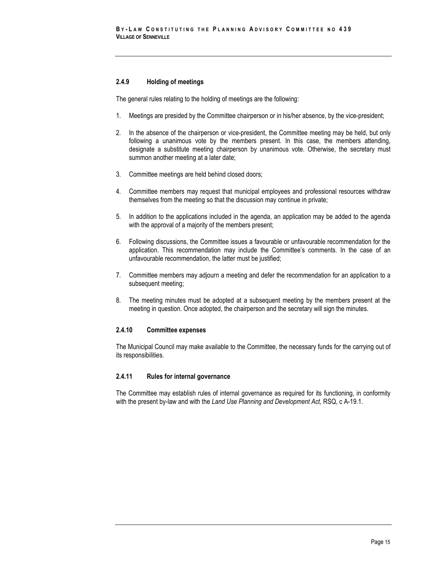#### <span id="page-14-0"></span>**2.4.9 Holding of meetings**

The general rules relating to the holding of meetings are the following:

- 1. Meetings are presided by the Committee chairperson or in his/her absence, by the vice-president;
- 2. In the absence of the chairperson or vice-president, the Committee meeting may be held, but only following a unanimous vote by the members present. In this case, the members attending, designate a substitute meeting chairperson by unanimous vote. Otherwise, the secretary must summon another meeting at a later date;
- 3. Committee meetings are held behind closed doors;
- 4. Committee members may request that municipal employees and professional resources withdraw themselves from the meeting so that the discussion may continue in private;
- 5. In addition to the applications included in the agenda, an application may be added to the agenda with the approval of a majority of the members present;
- 6. Following discussions, the Committee issues a favourable or unfavourable recommendation for the application. This recommendation may include the Committee's comments. In the case of an unfavourable recommendation, the latter must be justified;
- 7. Committee members may adjourn a meeting and defer the recommendation for an application to a subsequent meeting;
- 8. The meeting minutes must be adopted at a subsequent meeting by the members present at the meeting in question. Once adopted, the chairperson and the secretary will sign the minutes.

#### <span id="page-14-1"></span>**2.4.10 Committee expenses**

The Municipal Council may make available to the Committee, the necessary funds for the carrying out of its responsibilities.

#### <span id="page-14-2"></span>**2.4.11 Rules for internal governance**

The Committee may establish rules of internal governance as required for its functioning, in conformity with the present by-law and with the *Land Use Planning and Development Act,* RSQ, c A-19.1.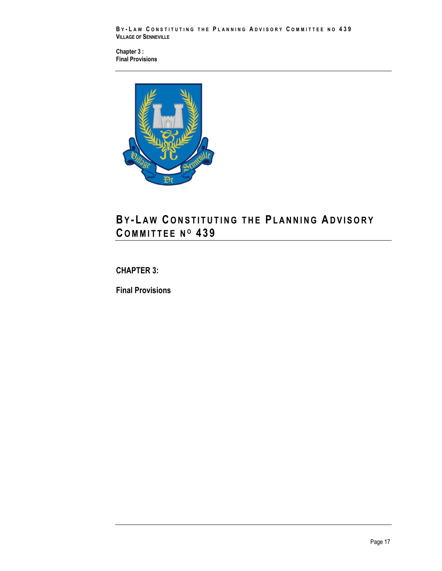**B Y - L A W C O N S T I T U T I N G T H E P L A N N I N G A D V I S O R Y C O M M I T T E E N O 439 VILLAGE OF SENNEVILLE**

**Chapter 3 : [Final Provisions](#page-16-1)**



# **BY - L A W C O N S T I T U T I N G T H E PL A N N I N G AD V I S O R Y C O M M I T T E E N <sup>O</sup> 4 3 9**

## <span id="page-16-0"></span>**CHAPTER 3:**

<span id="page-16-1"></span>**Final Provisions**